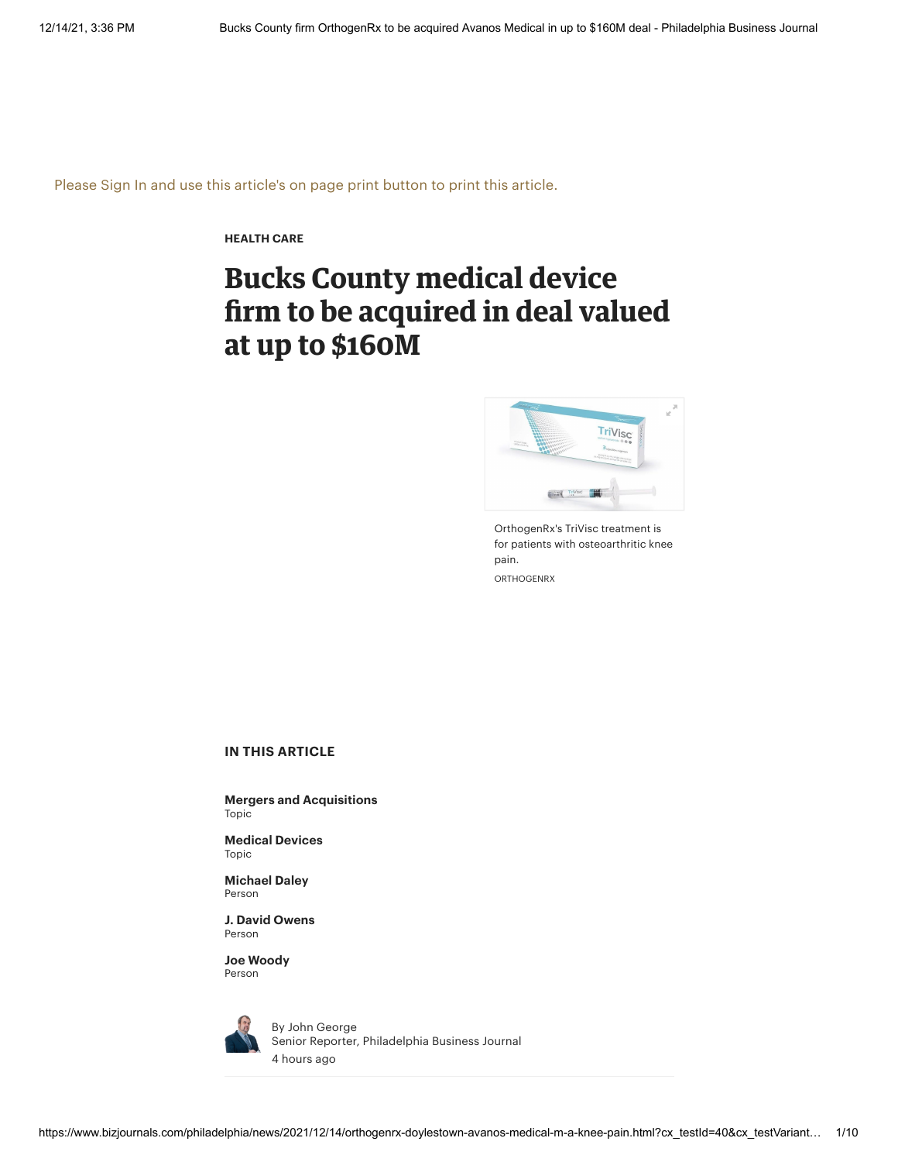Please Sign In and use this article's on page print button to print this article.

**[HEALTH](https://www.bizjournals.com/philadelphia/news/health-care/) CARE**

# **Bucks County medical device firm to be acquired in deal valued at up to \$160M**



OrthogenRx's TriVisc treatment is for patients with osteoarthritic knee pain. ORTHOGENRX

#### **IN THIS ARTICLE**

**Mergers and [Acquisitions](https://www.bizjournals.com/philadelphia/topic/mergers-and-acquisitions)** Topic

**[Medical](https://www.bizjournals.com/philadelphia/topic/medical-devices) Devices** Topic

**[Michael](https://www.bizjournals.com/philadelphia/search?q=Michael%20Daley) Daley** Person

**J. David [Owens](https://www.bizjournals.com/philadelphia/search?q=J.%20David%20Owens)** Person

**Joe [Woody](https://www.bizjournals.com/philadelphia/search?q=Joe%20Woody)** Person



By John [George](https://www.bizjournals.com/philadelphia/bio/6321/John+George) Senior Reporter, Philadelphia Business Journal 4 hours ago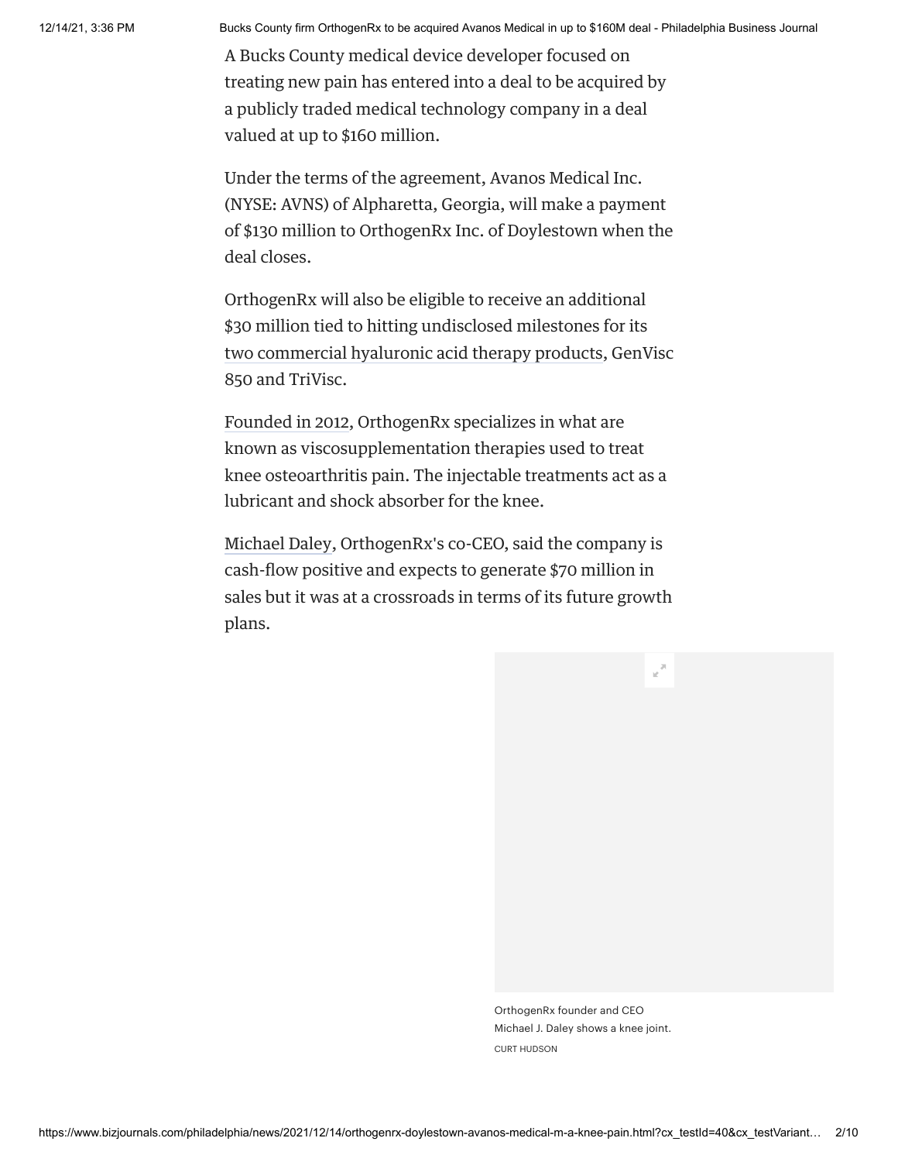A Bucks County medical device developer focused on treating new pain has entered into a deal to be acquired by a publicly traded medical technology company in a deal valued at up to \$160 million.

Under the terms of the agreement, Avanos Medical Inc. (NYSE: AVNS) of Alpharetta, Georgia, will make a payment of \$130 million to OrthogenRx Inc. of Doylestown when the deal closes.

OrthogenRx will also be eligible to receive an additional \$30 million tied to hitting undisclosed milestones for its two [commercial](https://www.bizjournals.com/philadelphia/news/2019/01/25/bucks-county-medical-device-company-launches.html) hyaluronic acid therapy products, GenVisc 850 and TriVisc.

[Founded](https://www.bizjournals.com/philadelphia/news/2018/11/14/bucks-county-medicaldevice-company-expanding-its.html) in 2012, OrthogenRx specializes in what are known as viscosupplementation therapies used to treat knee osteoarthritis pain. The injectable treatments act as a lubricant and shock absorber for the knee.

[Michael](https://www.bizjournals.com/philadelphia/search/results?q=Michael%20Daley) Daley, OrthogenRx's co-CEO, said the company is cash-flow positive and expects to generate \$70 million in sales but it was at a crossroads in terms of its future growth plans.

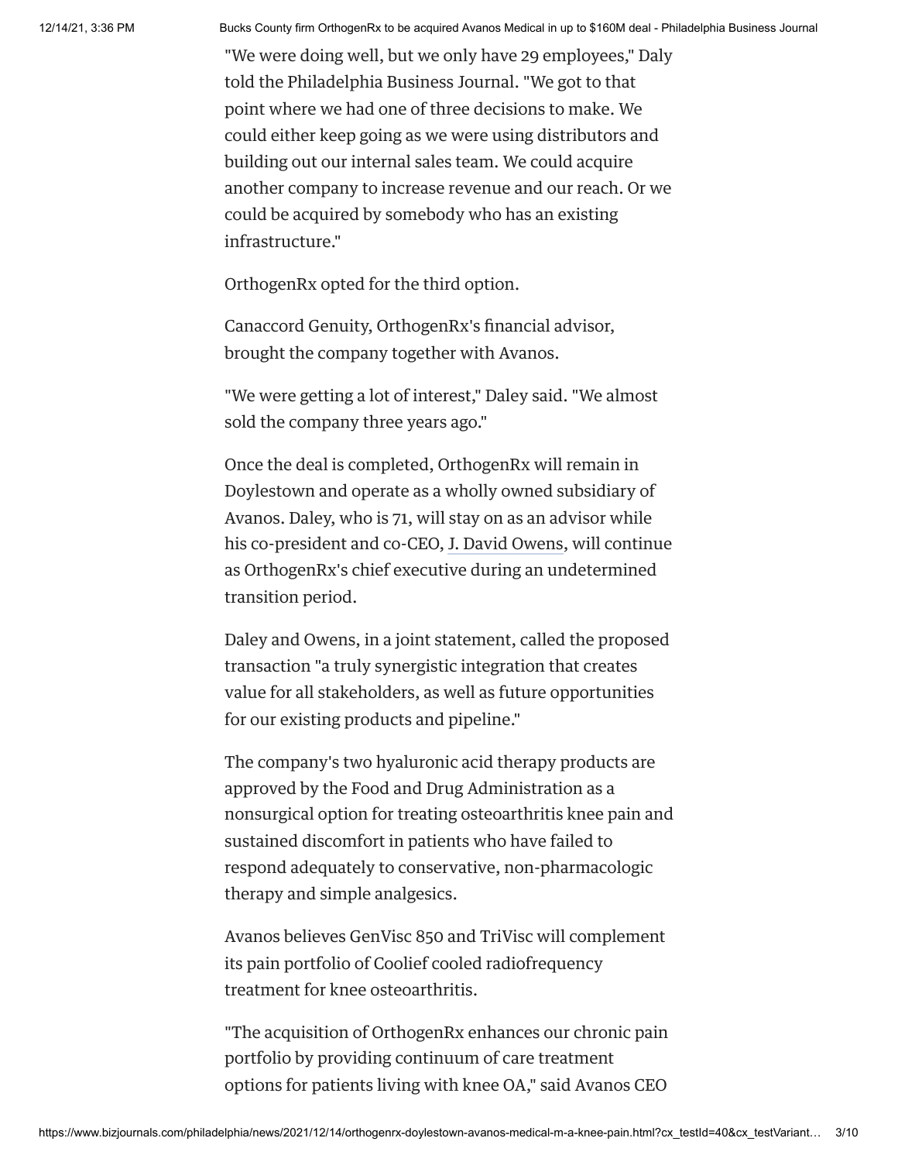"We were doing well, but we only have 29 employees," Daly told the Philadelphia Business Journal. "We got to that point where we had one of three decisions to make. We could either keep going as we were using distributors and building out our internal sales team. We could acquire another company to increase revenue and our reach. Or we could be acquired by somebody who has an existing infrastructure."

OrthogenRx opted for the third option.

Canaccord Genuity, OrthogenRx's financial advisor, brought the company together with Avanos.

"We were getting a lot of interest," Daley said. "We almost sold the company three years ago."

Once the deal is completed, OrthogenRx will remain in Doylestown and operate as a wholly owned subsidiary of Avanos. Daley, who is 71, will stay on as an advisor while his co-president and co-CEO, J. David [Owens](https://www.bizjournals.com/philadelphia/search/results?q=J.%20David%20Owens), will continue as OrthogenRx's chief executive during an undetermined transition period.

Daley and Owens, in a joint statement, called the proposed transaction "a truly synergistic integration that creates value for all stakeholders, as well as future opportunities for our existing products and pipeline."

The company's two hyaluronic acid therapy products are approved by the Food and Drug Administration as a nonsurgical option for treating osteoarthritis knee pain and sustained discomfort in patients who have failed to respond adequately to conservative, non-pharmacologic therapy and simple analgesics.

Avanos believes GenVisc 850 and TriVisc will complement its pain portfolio of Coolief cooled radiofrequency treatment for knee osteoarthritis.

"The acquisition of OrthogenRx enhances our chronic pain portfolio by providing continuum of care treatment options for patients living with knee OA," said Avanos CEO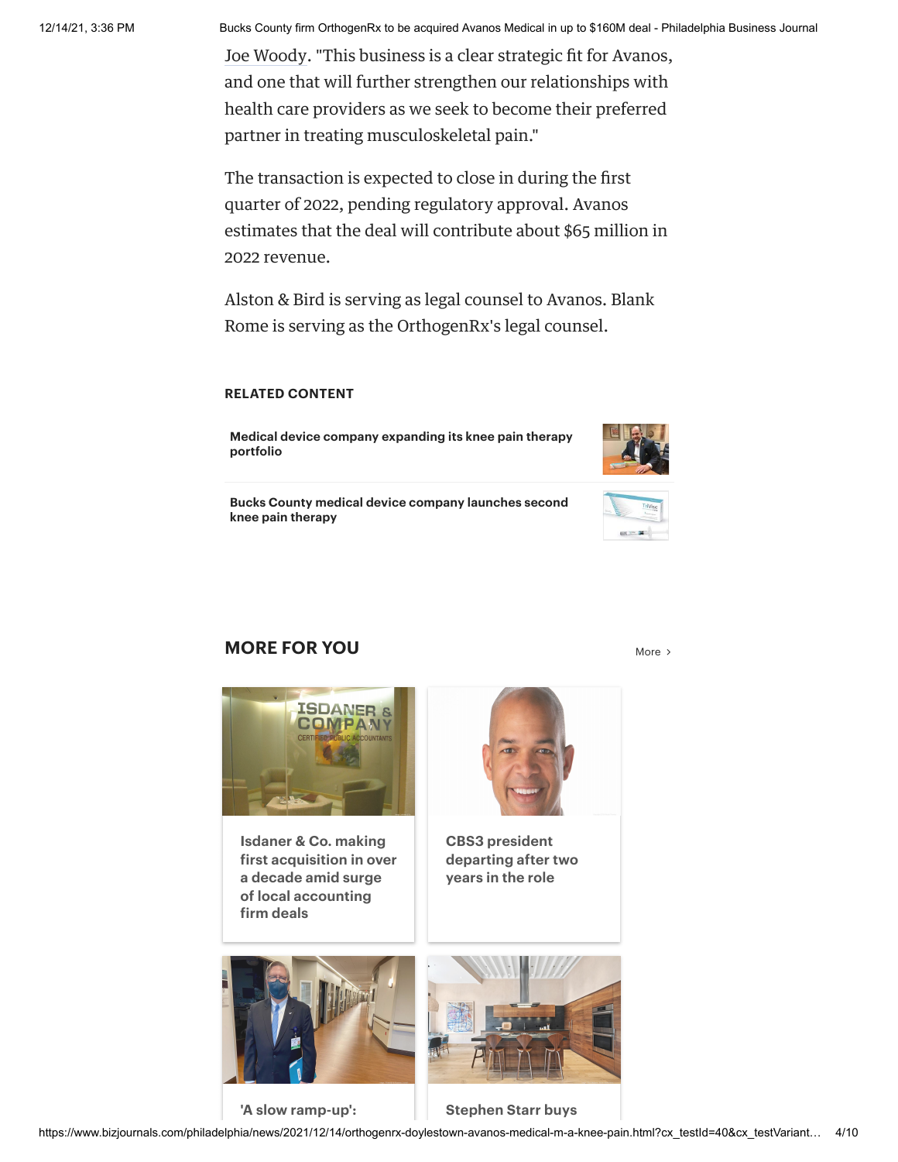Joe [Woody.](https://www.bizjournals.com/philadelphia/search/results?q=Joe%20Woody) "This business is a clear strategic fit for Avanos, and one that will further strengthen our relationships with health care providers as we seek to become their preferred partner in treating musculoskeletal pain."

The transaction is expected to close in during the first quarter of 2022, pending regulatory approval. Avanos estimates that the deal will contribute about \$65 million in 2022 revenue.

Alston & Bird is serving as legal counsel to Avanos. Blank Rome is serving as the OrthogenRx's legal counsel.

### **RELATED CONTENT**

**Medical device company expanding its knee pain therapy portfolio**



**Bucks County medical device company launches second knee pain therapy**



## **MORE FOR YOU** [More](https://www.bizjournals.com/philadelphia) and More and More and More and More and More and More and More and More and More and More and More and More and More and More and More and More and More and More and More and More and More and More and



**Isdaner & Co. making first acquisition in over a decade amid surge of local [accounting](https://www.bizjournals.com/philadelphia/news/2021/12/14/isdaner-co-to-buy-rw-group.html) firm deals**



**CBS3 president [departing](https://www.bizjournals.com/philadelphia/news/2021/12/14/cbs3-president-departing-after-just-two-years.html) after two years in the role**



**'A slow [ramp-up':](https://www.bizjournals.com/philadelphia/news/2021/12/06/doylestown-hospitals-covid-19-cares-act-profit.html) [Stephen](https://www.bizjournals.com/philadelphia/news/2021/09/23/stephen-starr-buys-3-5m-home-near-art-museum.html) Starr buys**

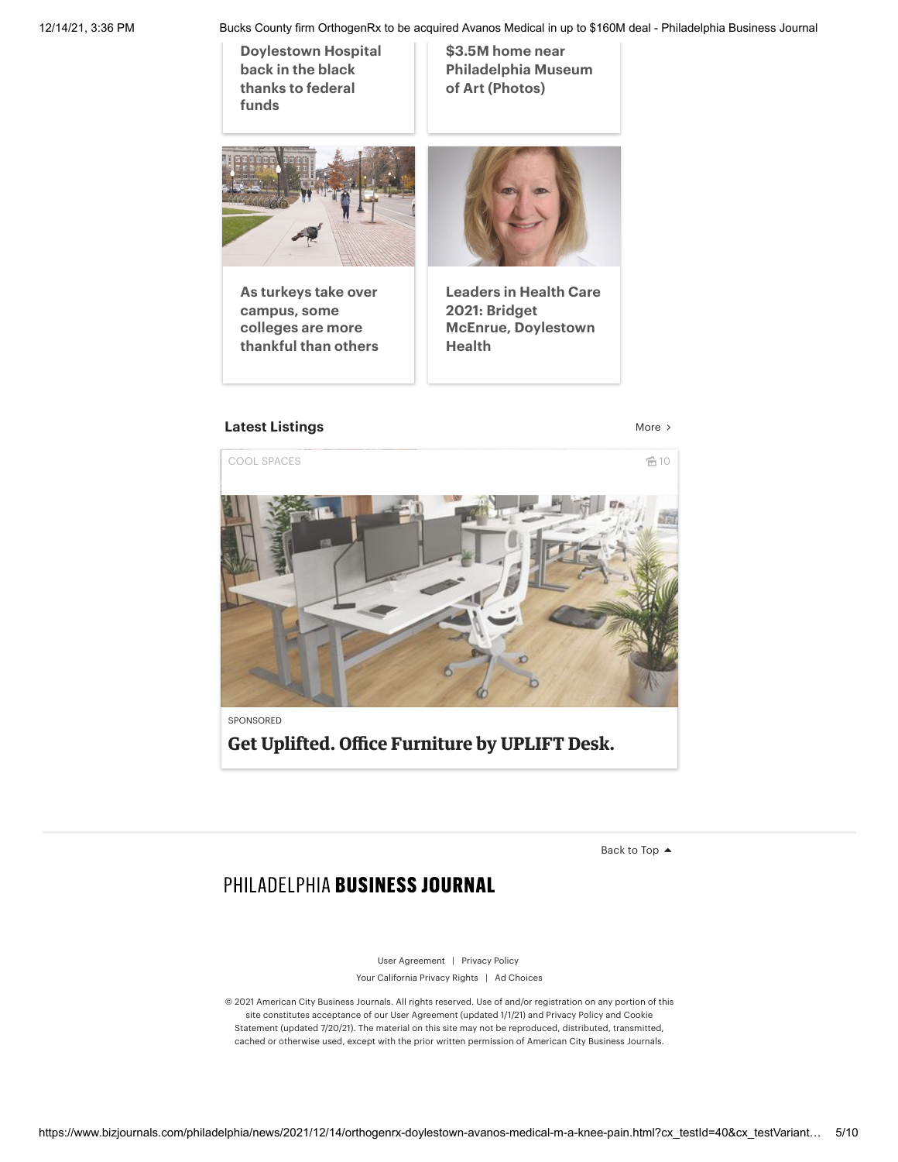**[Doylestown](https://www.bizjournals.com/philadelphia/news/2021/12/06/doylestown-hospitals-covid-19-cares-act-profit.html) Hospital back in the black thanks to federal funds**

**\$3.5M home near [Philadelphia](https://www.bizjournals.com/philadelphia/news/2021/09/23/stephen-starr-buys-3-5m-home-near-art-museum.html) Museum of Art (Photos)**



**As turkeys take over [campus,](https://www.bizjournals.com/twincities/news/2021/11/29/turkeys-college-nyt.html) some colleges are more thankful than others**



**Leaders in Health Care 2021: Bridget McEnrue, [Doylestown](https://www.bizjournals.com/philadelphia/news/2021/10/14/leaders-in-health-care-2021-bridget-mcenrue.html) Health**

## **Latest [Listings](https://www.bizjournals.com/philadelphia/listings)** [More](https://www.bizjournals.com/philadelphia/listings) > More > More > More > More > More > More >  $M = \{x_i, x_i\}$





**Get Uplifted. Office Furniture by UPLIFT Desk.**

[Back](javascript:void(0);) to Top ▲

## PHILADELPHIA BUSINESS JOURNAL

User [Agreement](https://www.bizjournals.com/useragreement) | [Privacy](https://www.bizjournals.com/privacy) Policy Your [California](https://www.bizjournals.com/privacy#X) Privacy Rights | Ad [Choices](https://www.bizjournals.com/privacy#VII)

© 2021 American City Business Journals. All rights reserved. Use of and/or registration on any portion of this site constitutes acceptance of our User [Agreement](https://www.bizjournals.com/useragreement) (updated 1/1/21) and Privacy Policy and Cookie Statement (updated 7/20/21). The material on this site may not be [reproduced,](https://www.bizjournals.com/privacy) distributed, transmitted, cached or otherwise used, except with the prior written permission of American City Business Journals.